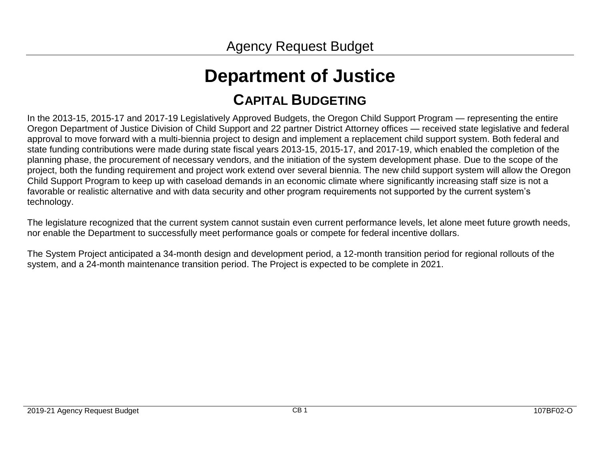# **Department of Justice CAPITAL BUDGETING**

In the 2013-15, 2015-17 and 2017-19 Legislatively Approved Budgets, the Oregon Child Support Program — representing the entire Oregon Department of Justice Division of Child Support and 22 partner District Attorney offices — received state legislative and federal approval to move forward with a multi-biennia project to design and implement a replacement child support system. Both federal and state funding contributions were made during state fiscal years 2013-15, 2015-17, and 2017-19, which enabled the completion of the planning phase, the procurement of necessary vendors, and the initiation of the system development phase. Due to the scope of the project, both the funding requirement and project work extend over several biennia. The new child support system will allow the Oregon Child Support Program to keep up with caseload demands in an economic climate where significantly increasing staff size is not a favorable or realistic alternative and with data security and other program requirements not supported by the current system's technology.

The legislature recognized that the current system cannot sustain even current performance levels, let alone meet future growth needs, nor enable the Department to successfully meet performance goals or compete for federal incentive dollars.

The System Project anticipated a 34-month design and development period, a 12-month transition period for regional rollouts of the system, and a 24-month maintenance transition period. The Project is expected to be complete in 2021.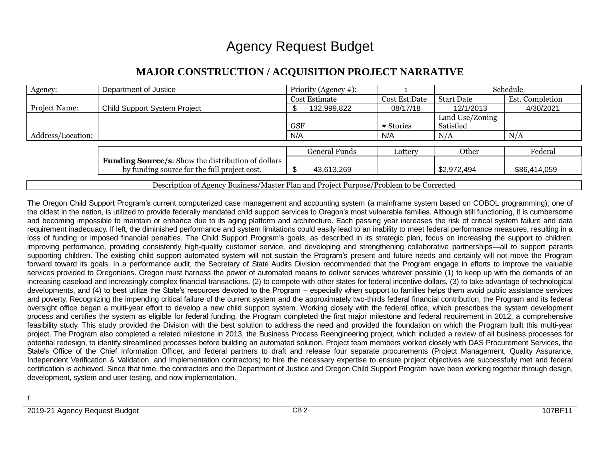| Agency:                                                                                | Department of Justice                                                                                     | Priority (Agency $#$ ): |               | Schedule                     |                 |  |  |
|----------------------------------------------------------------------------------------|-----------------------------------------------------------------------------------------------------------|-------------------------|---------------|------------------------------|-----------------|--|--|
|                                                                                        |                                                                                                           | Cost Estimate           | Cost Est.Date | <b>Start Date</b>            | Est. Completion |  |  |
| <b>Project Name:</b>                                                                   | <b>Child Support System Project</b>                                                                       | 132,999,822             | 08/17/18      | 12/1/2013                    | 4/30/2021       |  |  |
|                                                                                        |                                                                                                           | <b>GSF</b>              | # Stories     | Land Use/Zoning<br>Satisfied |                 |  |  |
| Address/Location:                                                                      |                                                                                                           | N/A                     | N/A           | N/A                          | N/A             |  |  |
|                                                                                        |                                                                                                           |                         |               |                              |                 |  |  |
|                                                                                        |                                                                                                           | General Funds           | Lottery       | Other                        | Federal         |  |  |
|                                                                                        | <b>Funding Source/s:</b> Show the distribution of dollars<br>by funding source for the full project cost. | 43,613,269              |               | \$2,972,494                  | \$86,414,059    |  |  |
| Description of Agency Business/Master Plan and Project Purpose/Problem to be Corrected |                                                                                                           |                         |               |                              |                 |  |  |

## **MAJOR CONSTRUCTION / ACQUISITION PROJECT NARRATIVE**

The Oregon Child Support Program's current computerized case management and accounting system (a mainframe system based on COBOL programming), one of the oldest in the nation, is utilized to provide federally mandated child support services to Oregon's most vulnerable families. Although still functioning, it is cumbersome and becoming impossible to maintain or enhance due to its aging platform and architecture. Each passing year increases the risk of critical system failure and data requirement inadequacy. If left, the diminished performance and system limitations could easily lead to an inability to meet federal performance measures, resulting in a loss of funding or imposed financial penalties. The Child Support Program's goals, as described in its strategic plan, focus on increasing the support to children, improving performance, providing consistently high-quality customer service, and developing and strengthening collaborative partnerships—all to support parents supporting children. The existing child support automated system will not sustain the Program's present and future needs and certainly will not move the Program forward toward its goals. In a performance audit, the Secretary of State Audits Division recommended that the Program engage in efforts to improve the valuable services provided to Oregonians. Oregon must harness the power of automated means to deliver services wherever possible (1) to keep up with the demands of an increasing caseload and increasingly complex financial transactions, (2) to compete with other states for federal incentive dollars, (3) to take advantage of technological developments, and (4) to best utilize the State's resources devoted to the Program – especially when support to families helps them avoid public assistance services and poverty. Recognizing the impending critical failure of the current system and the approximately two-thirds federal financial contribution, the Program and its federal oversight office began a multi-year effort to develop a new child support system. Working closely with the federal office, which prescribes the system development process and certifies the system as eligible for federal funding, the Program completed the first major milestone and federal requirement in 2012, a comprehensive feasibility study. This study provided the Division with the best solution to address the need and provided the foundation on which the Program built this multi-year project. The Program also completed a related milestone in 2013, the Business Process Reengineering project, which included a review of all business processes for potential redesign, to identify streamlined processes before building an automated solution. Project team members worked closely with DAS Procurement Services, the State's Office of the Chief Information Officer, and federal partners to draft and release four separate procurements (Project Management, Quality Assurance, Independent Verification & Validation, and Implementation contractors) to hire the necessary expertise to ensure project objectives are successfully met and federal certification is achieved. Since that time, the contractors and the Department of Justice and Oregon Child Support Program have been working together through design, development, system and user testing, and now implementation.

r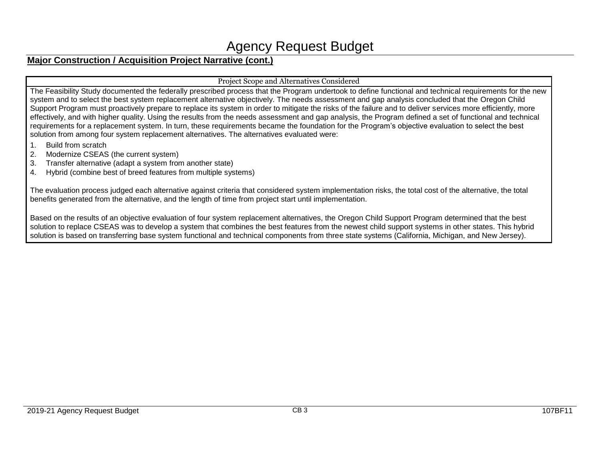## Agency Request Budget

## **Major Construction / Acquisition Project Narrative (cont.)**

#### Project Scope and Alternatives Considered

The Feasibility Study documented the federally prescribed process that the Program undertook to define functional and technical requirements for the new system and to select the best system replacement alternative objectively. The needs assessment and gap analysis concluded that the Oregon Child Support Program must proactively prepare to replace its system in order to mitigate the risks of the failure and to deliver services more efficiently, more effectively, and with higher quality. Using the results from the needs assessment and gap analysis, the Program defined a set of functional and technical requirements for a replacement system. In turn, these requirements became the foundation for the Program's objective evaluation to select the best solution from among four system replacement alternatives. The alternatives evaluated were:

- 1. Build from scratch
- 2. Modernize CSEAS (the current system)
- 3. Transfer alternative (adapt a system from another state)
- 4. Hybrid (combine best of breed features from multiple systems)

The evaluation process judged each alternative against criteria that considered system implementation risks, the total cost of the alternative, the total benefits generated from the alternative, and the length of time from project start until implementation.

Based on the results of an objective evaluation of four system replacement alternatives, the Oregon Child Support Program determined that the best solution to replace CSEAS was to develop a system that combines the best features from the newest child support systems in other states. This hybrid solution is based on transferring base system functional and technical components from three state systems (California, Michigan, and New Jersey).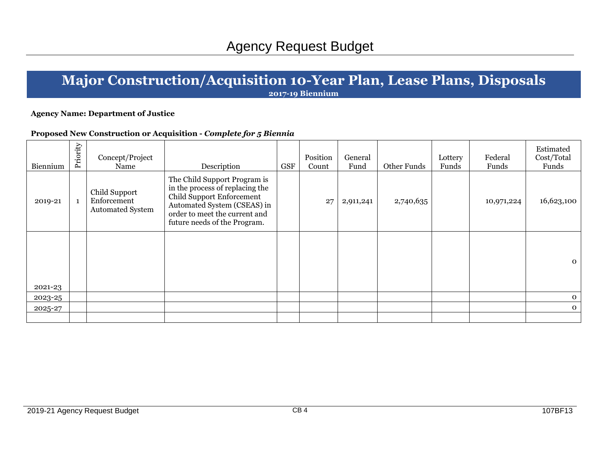# **Major Construction/Acquisition 10-Year Plan, Lease Plans, Disposals**

**2017-19 Biennium**

#### **Agency Name: Department of Justice**

### **Proposed New Construction or Acquisition -** *Complete for 5 Biennia*

| Biennium | Priority | Concept/Project<br>Name                                 | Description                                                                                                                                                                                  | <b>GSF</b> | Position<br>Count | General<br>Fund | Other Funds | Lottery<br>Funds | Federal<br>Funds | Estimated<br>Cost/Total<br>Funds |
|----------|----------|---------------------------------------------------------|----------------------------------------------------------------------------------------------------------------------------------------------------------------------------------------------|------------|-------------------|-----------------|-------------|------------------|------------------|----------------------------------|
| 2019-21  |          | Child Support<br>Enforcement<br><b>Automated System</b> | The Child Support Program is<br>in the process of replacing the<br>Child Support Enforcement<br>Automated System (CSEAS) in<br>order to meet the current and<br>future needs of the Program. |            | 27                | 2,911,241       | 2,740,635   |                  | 10,971,224       | 16,623,100                       |
| 2021-23  |          |                                                         |                                                                                                                                                                                              |            |                   |                 |             |                  |                  | $\mathbf{o}$                     |
| 2023-25  |          |                                                         |                                                                                                                                                                                              |            |                   |                 |             |                  |                  | $\mathbf{O}$                     |
| 2025-27  |          |                                                         |                                                                                                                                                                                              |            |                   |                 |             |                  |                  | $\mathbf{O}$                     |
|          |          |                                                         |                                                                                                                                                                                              |            |                   |                 |             |                  |                  |                                  |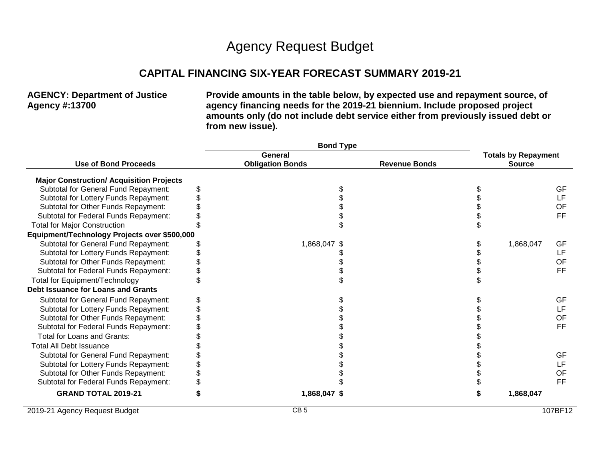## **CAPITAL FINANCING SIX-YEAR FORECAST SUMMARY 2019-21**

### **AGENCY: Department of Justice Agency #:13700**

**Provide amounts in the table below, by expected use and repayment source, of agency financing needs for the 2019-21 biennium. Include proposed project amounts only (do not include debt service either from previously issued debt or from new issue).**

|                                                 |  | <b>Bond Type</b>        |  |                      |               |                            |           |
|-------------------------------------------------|--|-------------------------|--|----------------------|---------------|----------------------------|-----------|
|                                                 |  | General                 |  |                      |               | <b>Totals by Repayment</b> |           |
| <b>Use of Bond Proceeds</b>                     |  | <b>Obligation Bonds</b> |  | <b>Revenue Bonds</b> | <b>Source</b> |                            |           |
| <b>Major Construction/ Acquisition Projects</b> |  |                         |  |                      |               |                            |           |
| Subtotal for General Fund Repayment:            |  |                         |  |                      |               |                            | GF        |
| Subtotal for Lottery Funds Repayment:           |  |                         |  |                      |               |                            | LF        |
| Subtotal for Other Funds Repayment:             |  |                         |  |                      |               |                            | OF        |
| Subtotal for Federal Funds Repayment:           |  |                         |  |                      |               |                            | FF        |
| <b>Total for Major Construction</b>             |  |                         |  |                      |               |                            |           |
| Equipment/Technology Projects over \$500,000    |  |                         |  |                      |               |                            |           |
| Subtotal for General Fund Repayment:            |  | 1,868,047 \$            |  |                      |               | 1,868,047                  | GF        |
| Subtotal for Lottery Funds Repayment:           |  |                         |  |                      |               |                            | LF        |
| Subtotal for Other Funds Repayment:             |  |                         |  |                      |               |                            | OF        |
| Subtotal for Federal Funds Repayment:           |  |                         |  |                      |               |                            | <b>FF</b> |
| Total for Equipment/Technology                  |  |                         |  |                      |               |                            |           |
| Debt Issuance for Loans and Grants              |  |                         |  |                      |               |                            |           |
| Subtotal for General Fund Repayment:            |  |                         |  |                      |               |                            | GF        |
| Subtotal for Lottery Funds Repayment:           |  |                         |  |                      |               |                            | LF        |
| Subtotal for Other Funds Repayment:             |  |                         |  |                      |               |                            | OF        |
| Subtotal for Federal Funds Repayment:           |  |                         |  |                      |               |                            | <b>FF</b> |
| <b>Total for Loans and Grants:</b>              |  |                         |  |                      |               |                            |           |
| <b>Total All Debt Issuance</b>                  |  |                         |  |                      |               |                            |           |
| Subtotal for General Fund Repayment:            |  |                         |  |                      |               |                            | GF        |
| Subtotal for Lottery Funds Repayment:           |  |                         |  |                      |               |                            | LF        |
| Subtotal for Other Funds Repayment:             |  |                         |  |                      |               |                            | OF        |
| Subtotal for Federal Funds Repayment:           |  |                         |  |                      |               |                            | FF        |
| <b>GRAND TOTAL 2019-21</b>                      |  | 1,868,047 \$            |  |                      |               | 1,868,047                  |           |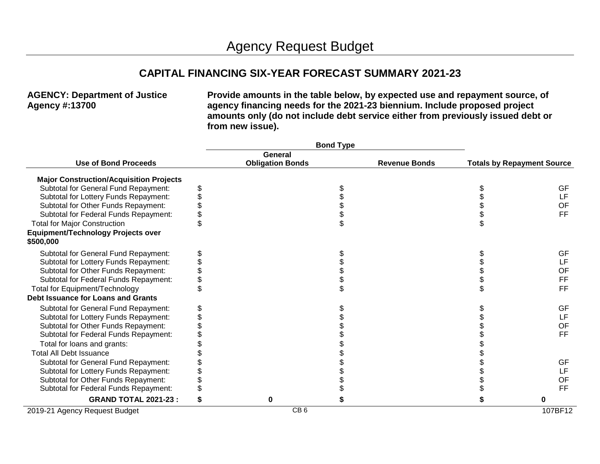## **CAPITAL FINANCING SIX-YEAR FORECAST SUMMARY 2021-23**

### **AGENCY: Department of Justice Agency #:13700**

**Provide amounts in the table below, by expected use and repayment source, of agency financing needs for the 2021-23 biennium. Include proposed project amounts only (do not include debt service either from previously issued debt or from new issue).**

|                                                        | <b>Bond Type</b>        |                      |                                   |
|--------------------------------------------------------|-------------------------|----------------------|-----------------------------------|
|                                                        | General                 |                      |                                   |
| <b>Use of Bond Proceeds</b>                            | <b>Obligation Bonds</b> | <b>Revenue Bonds</b> | <b>Totals by Repayment Source</b> |
| <b>Major Construction/Acquisition Projects</b>         |                         |                      |                                   |
| Subtotal for General Fund Repayment:                   |                         |                      | <b>GF</b>                         |
| Subtotal for Lottery Funds Repayment:                  |                         |                      | LF                                |
| Subtotal for Other Funds Repayment:                    |                         |                      | OF                                |
| Subtotal for Federal Funds Repayment:                  |                         |                      | <b>FF</b>                         |
| <b>Total for Major Construction</b>                    |                         |                      |                                   |
| <b>Equipment/Technology Projects over</b><br>\$500,000 |                         |                      |                                   |
| Subtotal for General Fund Repayment:                   |                         |                      | <b>GF</b>                         |
| Subtotal for Lottery Funds Repayment:                  |                         |                      | LF                                |
| Subtotal for Other Funds Repayment:                    |                         |                      | OF                                |
| Subtotal for Federal Funds Repayment:                  |                         |                      | <b>FF</b>                         |
| <b>Total for Equipment/Technology</b>                  |                         |                      | <b>FF</b>                         |
| <b>Debt Issuance for Loans and Grants</b>              |                         |                      |                                   |
| Subtotal for General Fund Repayment:                   |                         |                      | GF                                |
| Subtotal for Lottery Funds Repayment:                  |                         |                      | LF                                |
| Subtotal for Other Funds Repayment:                    |                         |                      | OF                                |
| Subtotal for Federal Funds Repayment:                  |                         |                      | FF.                               |
| Total for loans and grants:                            |                         |                      |                                   |
| <b>Total All Debt Issuance</b>                         |                         |                      |                                   |
| <b>Subtotal for General Fund Repayment:</b>            |                         |                      | <b>GF</b>                         |
| Subtotal for Lottery Funds Repayment:                  |                         |                      | LF                                |
| Subtotal for Other Funds Repayment:                    |                         |                      | OF                                |
| Subtotal for Federal Funds Repayment:                  |                         |                      | <b>FF</b>                         |
| <b>GRAND TOTAL 2021-23:</b>                            |                         |                      | 0                                 |
| 2019-21 Agency Request Budget                          | CB <sub>6</sub>         |                      | 107BF12                           |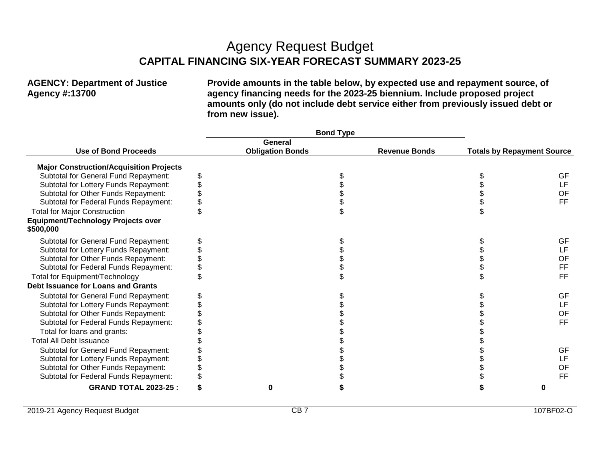## Agency Request Budget

## **CAPITAL FINANCING SIX-YEAR FORECAST SUMMARY 2023-25**

### **AGENCY: Department of Justice Agency #:13700**

**Provide amounts in the table below, by expected use and repayment source, of agency financing needs for the 2023-25 biennium. Include proposed project amounts only (do not include debt service either from previously issued debt or from new issue).**

|                                                |   | <b>Bond Type</b>        |                      |                                   |
|------------------------------------------------|---|-------------------------|----------------------|-----------------------------------|
|                                                |   | General                 |                      |                                   |
| <b>Use of Bond Proceeds</b>                    |   | <b>Obligation Bonds</b> | <b>Revenue Bonds</b> | <b>Totals by Repayment Source</b> |
| <b>Major Construction/Acquisition Projects</b> |   |                         |                      |                                   |
| Subtotal for General Fund Repayment:           | S |                         |                      | <b>GF</b>                         |
| Subtotal for Lottery Funds Repayment:          |   |                         |                      | LF                                |
| Subtotal for Other Funds Repayment:            |   |                         |                      | <b>OF</b>                         |
| Subtotal for Federal Funds Repayment:          |   |                         |                      | <b>FF</b>                         |
| <b>Total for Major Construction</b>            |   |                         |                      |                                   |
| Equipment/Technology Projects over             |   |                         |                      |                                   |
| \$500,000                                      |   |                         |                      |                                   |
| Subtotal for General Fund Repayment:           |   |                         |                      | <b>GF</b>                         |
| Subtotal for Lottery Funds Repayment:          |   |                         |                      | LF                                |
| Subtotal for Other Funds Repayment:            |   |                         |                      | OF                                |
| Subtotal for Federal Funds Repayment:          |   |                         |                      | <b>FF</b>                         |
| Total for Equipment/Technology                 |   |                         |                      | <b>FF</b>                         |
| <b>Debt Issuance for Loans and Grants</b>      |   |                         |                      |                                   |
| Subtotal for General Fund Repayment:           |   |                         |                      | GF                                |
| Subtotal for Lottery Funds Repayment:          |   |                         |                      | LF                                |
| Subtotal for Other Funds Repayment:            |   |                         |                      | <b>OF</b>                         |
| Subtotal for Federal Funds Repayment:          |   |                         |                      | <b>FF</b>                         |
| Total for loans and grants:                    |   |                         |                      |                                   |
| <b>Total All Debt Issuance</b>                 |   |                         |                      |                                   |
| Subtotal for General Fund Repayment:           |   |                         |                      | <b>GF</b>                         |
| Subtotal for Lottery Funds Repayment:          |   |                         |                      | LF                                |
| Subtotal for Other Funds Repayment:            |   |                         |                      | <b>OF</b>                         |
| Subtotal for Federal Funds Repayment:          |   |                         |                      | <b>FF</b>                         |
| <b>GRAND TOTAL 2023-25:</b>                    |   | $\bf{0}$                | S                    | 0                                 |